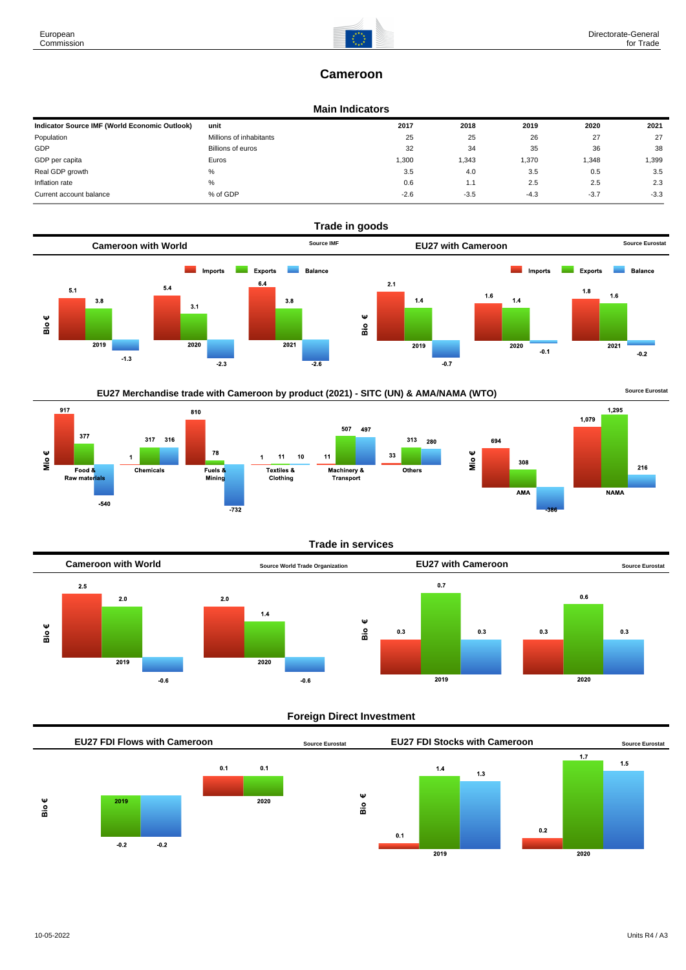# **Cameroon**

### **Main Indicators**

| Indicator Source IMF (World Economic Outlook) | unit                    | 2017   | 2018   | 2019   | 2020   | 2021   |
|-----------------------------------------------|-------------------------|--------|--------|--------|--------|--------|
| Population                                    | Millions of inhabitants | 25     | 25     | 26     | 27     | 27     |
| GDP                                           | Billions of euros       | 32     | 34     | 35     | 36     | 38     |
| GDP per capita                                | Euros                   | 300, ا | 1,343  | 1,370  | .348   | 1,399  |
| Real GDP growth                               | %                       | 3.5    | 4.0    | 3.5    | 0.5    | 3.5    |
| Inflation rate                                | %                       | 0.6    | 1.1    | 2.5    | 2.5    | 2.3    |
| Current account balance                       | % of GDP                | $-2.6$ | $-3.5$ | $-4.3$ | $-3.7$ | $-3.3$ |



EU27 Merchandise trade with Cameroon by product (2021) - SITC (UN) & AMA/NAMA (WTO) **Source Eurostat** 







### **Trade in services**



### **Foreign Direct Investment**